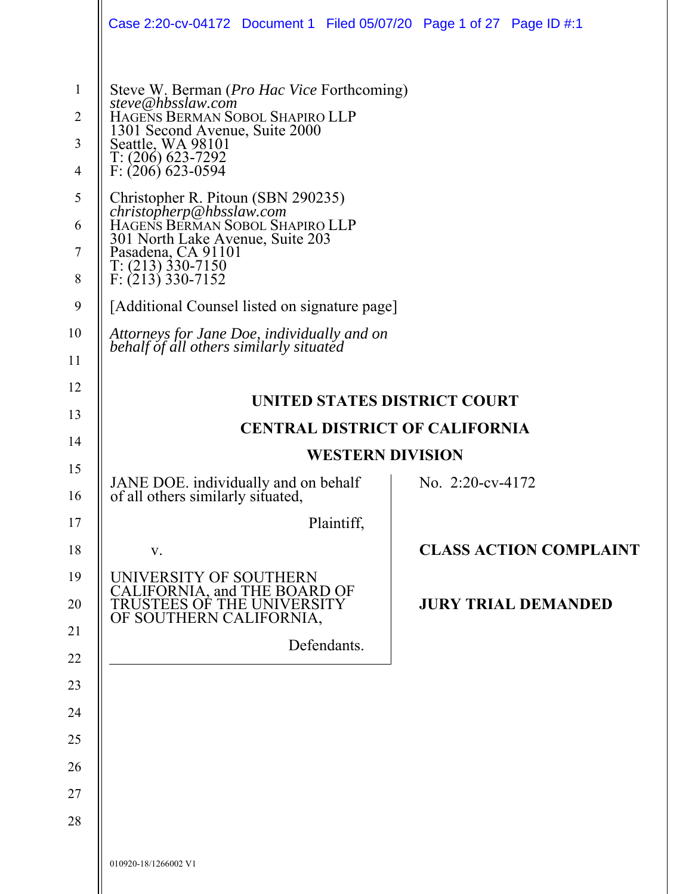|                                                                                        | Case 2:20-cv-04172 Document 1 Filed 05/07/20 Page 1 of 27 Page ID #:1                                                                                                                                                                                                                                                                                                                                                       |                                     |                     |                               |
|----------------------------------------------------------------------------------------|-----------------------------------------------------------------------------------------------------------------------------------------------------------------------------------------------------------------------------------------------------------------------------------------------------------------------------------------------------------------------------------------------------------------------------|-------------------------------------|---------------------|-------------------------------|
| $\mathbf{1}$<br>$\overline{2}$<br>$\mathfrak{Z}$<br>$\overline{4}$<br>5<br>6<br>7<br>8 | Steve W. Berman (Pro Hac Vice Forthcoming)<br>steve@hbsslaw.com<br>HAGENS BERMAN SOBOL SHAPIRO LLP<br>1301 Second Avenue, Suite 2000<br>Seattle, WA 98101<br>$T: (206)$ 623-7292<br>$F: (206)$ 623-0594<br>Christopher R. Pitoun (SBN 290235)<br><i>christopherp@hbsslaw.com</i><br>HAGENS BERMAN SOBOL SHAPIRO LLP<br>301 North Lake Avenue, Suite 203<br>Pasadena, CA 91101<br>$T: (213)$ 330-7150<br>$F: (213)$ 330-7152 |                                     |                     |                               |
| 9                                                                                      | [Additional Counsel listed on signature page]                                                                                                                                                                                                                                                                                                                                                                               |                                     |                     |                               |
| 10                                                                                     | Attorneys for Jane Doe, individually and on                                                                                                                                                                                                                                                                                                                                                                                 |                                     |                     |                               |
| 11                                                                                     | behalf of all others similarly situated                                                                                                                                                                                                                                                                                                                                                                                     |                                     |                     |                               |
| 12                                                                                     |                                                                                                                                                                                                                                                                                                                                                                                                                             | <b>UNITED STATES DISTRICT COURT</b> |                     |                               |
| 13                                                                                     |                                                                                                                                                                                                                                                                                                                                                                                                                             |                                     |                     |                               |
| 14                                                                                     | <b>CENTRAL DISTRICT OF CALIFORNIA</b><br><b>WESTERN DIVISION</b>                                                                                                                                                                                                                                                                                                                                                            |                                     |                     |                               |
| 15                                                                                     |                                                                                                                                                                                                                                                                                                                                                                                                                             |                                     |                     |                               |
| 16                                                                                     | JANE DOE. individually and on behalf<br>of all others similarly situated,                                                                                                                                                                                                                                                                                                                                                   |                                     | No. $2:20$ -cv-4172 |                               |
| 17                                                                                     |                                                                                                                                                                                                                                                                                                                                                                                                                             | Plaintiff,                          |                     |                               |
| 18                                                                                     | V.                                                                                                                                                                                                                                                                                                                                                                                                                          |                                     |                     | <b>CLASS ACTION COMPLAINT</b> |
|                                                                                        |                                                                                                                                                                                                                                                                                                                                                                                                                             |                                     |                     |                               |
| 19<br>20                                                                               | UNIVERSITY OF SOUTHERN<br>CALIFORNIA, and THE BOARD OF<br>TRUSTEES OF THE UNIVERSITY                                                                                                                                                                                                                                                                                                                                        |                                     |                     | <b>JURY TRIAL DEMANDED</b>    |
| 21                                                                                     | OF SOUTHERN CALIFORNIA,                                                                                                                                                                                                                                                                                                                                                                                                     |                                     |                     |                               |
| 22                                                                                     |                                                                                                                                                                                                                                                                                                                                                                                                                             | Defendants.                         |                     |                               |
| 23                                                                                     |                                                                                                                                                                                                                                                                                                                                                                                                                             |                                     |                     |                               |
| 24                                                                                     |                                                                                                                                                                                                                                                                                                                                                                                                                             |                                     |                     |                               |
| 25                                                                                     |                                                                                                                                                                                                                                                                                                                                                                                                                             |                                     |                     |                               |
| 26                                                                                     |                                                                                                                                                                                                                                                                                                                                                                                                                             |                                     |                     |                               |
| 27                                                                                     |                                                                                                                                                                                                                                                                                                                                                                                                                             |                                     |                     |                               |
| 28                                                                                     |                                                                                                                                                                                                                                                                                                                                                                                                                             |                                     |                     |                               |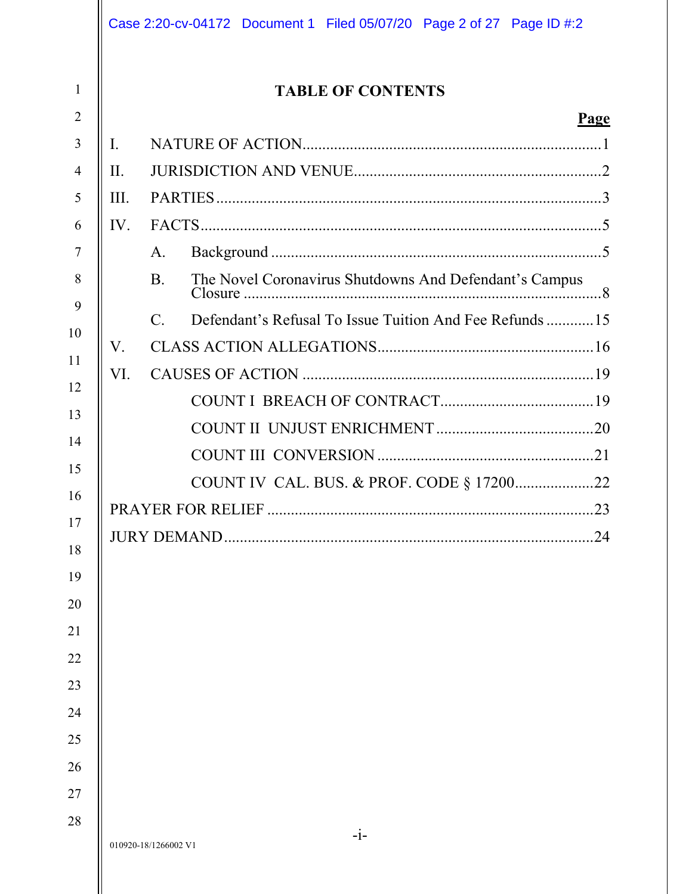| I.<br>A.<br>The Novel Coronavirus Shutdowns And Defendant's Campus<br><b>B.</b><br>Defendant's Refusal To Issue Tuition And Fee Refunds  15<br>$C_{\cdot}$<br>V.<br>VI.<br>COUNT IV CAL. BUS. & PROF. CODE § 1720022<br>PRAYER FOR RELIEF<br><b>JURY DEMAND</b> |  | <b>TABLE OF CONTENTS</b> |
|-----------------------------------------------------------------------------------------------------------------------------------------------------------------------------------------------------------------------------------------------------------------|--|--------------------------|
| II.<br>III.<br>IV.                                                                                                                                                                                                                                              |  |                          |
|                                                                                                                                                                                                                                                                 |  |                          |
|                                                                                                                                                                                                                                                                 |  |                          |
|                                                                                                                                                                                                                                                                 |  |                          |
|                                                                                                                                                                                                                                                                 |  |                          |
|                                                                                                                                                                                                                                                                 |  |                          |
|                                                                                                                                                                                                                                                                 |  |                          |
|                                                                                                                                                                                                                                                                 |  |                          |
|                                                                                                                                                                                                                                                                 |  |                          |
|                                                                                                                                                                                                                                                                 |  |                          |
|                                                                                                                                                                                                                                                                 |  |                          |
|                                                                                                                                                                                                                                                                 |  |                          |
|                                                                                                                                                                                                                                                                 |  |                          |
|                                                                                                                                                                                                                                                                 |  |                          |
|                                                                                                                                                                                                                                                                 |  |                          |
|                                                                                                                                                                                                                                                                 |  |                          |
|                                                                                                                                                                                                                                                                 |  |                          |
|                                                                                                                                                                                                                                                                 |  |                          |
|                                                                                                                                                                                                                                                                 |  |                          |
|                                                                                                                                                                                                                                                                 |  |                          |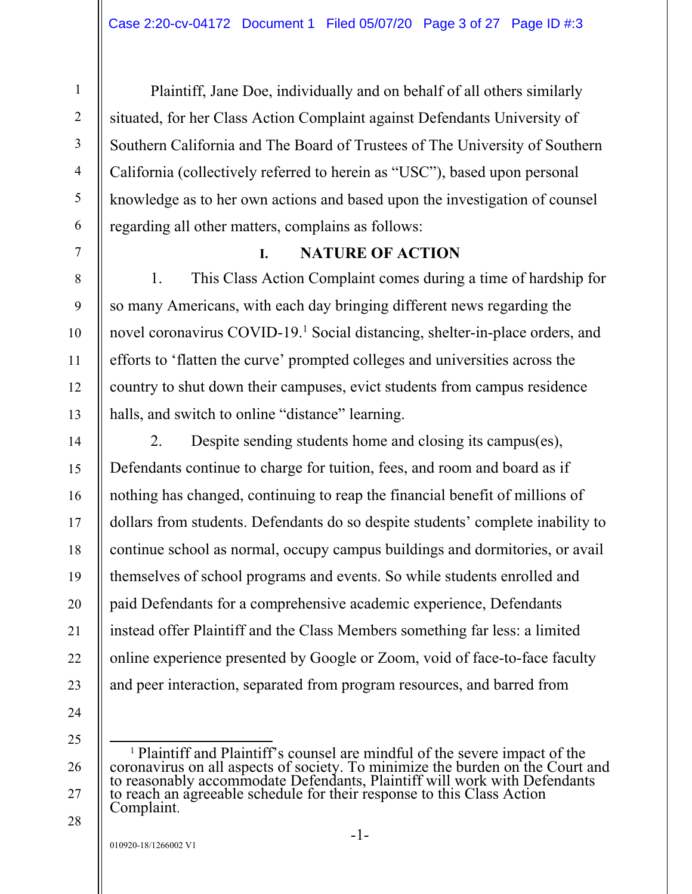Plaintiff, Jane Doe, individually and on behalf of all others similarly situated, for her Class Action Complaint against Defendants University of Southern California and The Board of Trustees of The University of Southern California (collectively referred to herein as "USC"), based upon personal knowledge as to her own actions and based upon the investigation of counsel regarding all other matters, complains as follows:

# **I. NATURE OF ACTION**

1. This Class Action Complaint comes during a time of hardship for so many Americans, with each day bringing different news regarding the novel coronavirus COVID-19.<sup>1</sup> Social distancing, shelter-in-place orders, and efforts to 'flatten the curve' prompted colleges and universities across the country to shut down their campuses, evict students from campus residence halls, and switch to online "distance" learning.

2. Despite sending students home and closing its campus(es), Defendants continue to charge for tuition, fees, and room and board as if nothing has changed, continuing to reap the financial benefit of millions of dollars from students. Defendants do so despite students' complete inability to continue school as normal, occupy campus buildings and dormitories, or avail themselves of school programs and events. So while students enrolled and paid Defendants for a comprehensive academic experience, Defendants instead offer Plaintiff and the Class Members something far less: a limited online experience presented by Google or Zoom, void of face-to-face faculty and peer interaction, separated from program resources, and barred from

24 25

26

27

28

1

2

3

4

5

6

7

8

9

10

11

12

13

14

15

16

17

18

19

20

21

22

<sup>&</sup>lt;sup>1</sup> Plaintiff and Plaintiff's counsel are mindful of the severe impact of the coronavirus on all aspects of society. To minimize the burden on the Court and to reasonably accommodate Defendants, Plaintiff will work with Defendants to reach an agreeable schedule for their response to this Class Action Complaint.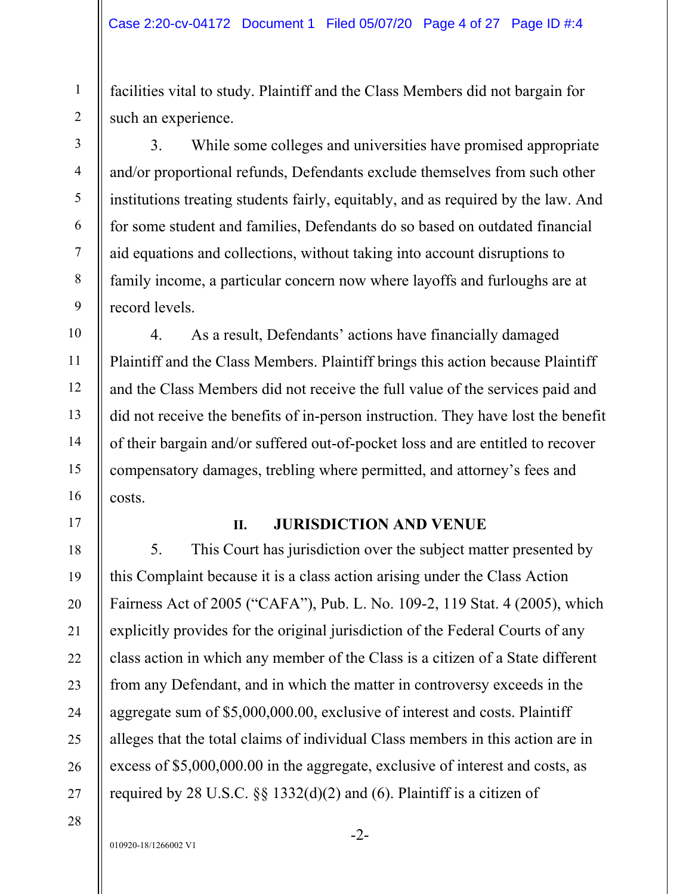facilities vital to study. Plaintiff and the Class Members did not bargain for such an experience.

3. While some colleges and universities have promised appropriate and/or proportional refunds, Defendants exclude themselves from such other institutions treating students fairly, equitably, and as required by the law. And for some student and families, Defendants do so based on outdated financial aid equations and collections, without taking into account disruptions to family income, a particular concern now where layoffs and furloughs are at record levels.

4. As a result, Defendants' actions have financially damaged Plaintiff and the Class Members. Plaintiff brings this action because Plaintiff and the Class Members did not receive the full value of the services paid and did not receive the benefits of in-person instruction. They have lost the benefit of their bargain and/or suffered out-of-pocket loss and are entitled to recover compensatory damages, trebling where permitted, and attorney's fees and costs.

## **II. JURISDICTION AND VENUE**

5. This Court has jurisdiction over the subject matter presented by this Complaint because it is a class action arising under the Class Action Fairness Act of 2005 ("CAFA"), Pub. L. No. 109-2, 119 Stat. 4 (2005), which explicitly provides for the original jurisdiction of the Federal Courts of any class action in which any member of the Class is a citizen of a State different from any Defendant, and in which the matter in controversy exceeds in the aggregate sum of \$5,000,000.00, exclusive of interest and costs. Plaintiff alleges that the total claims of individual Class members in this action are in excess of \$5,000,000.00 in the aggregate, exclusive of interest and costs, as required by 28 U.S.C. §§ 1332(d)(2) and (6). Plaintiff is a citizen of

27 28

1

2

3

4

5

6

7

8

9

10

11

12

13

14

15

16

17

18

19

20

21

22

23

24

25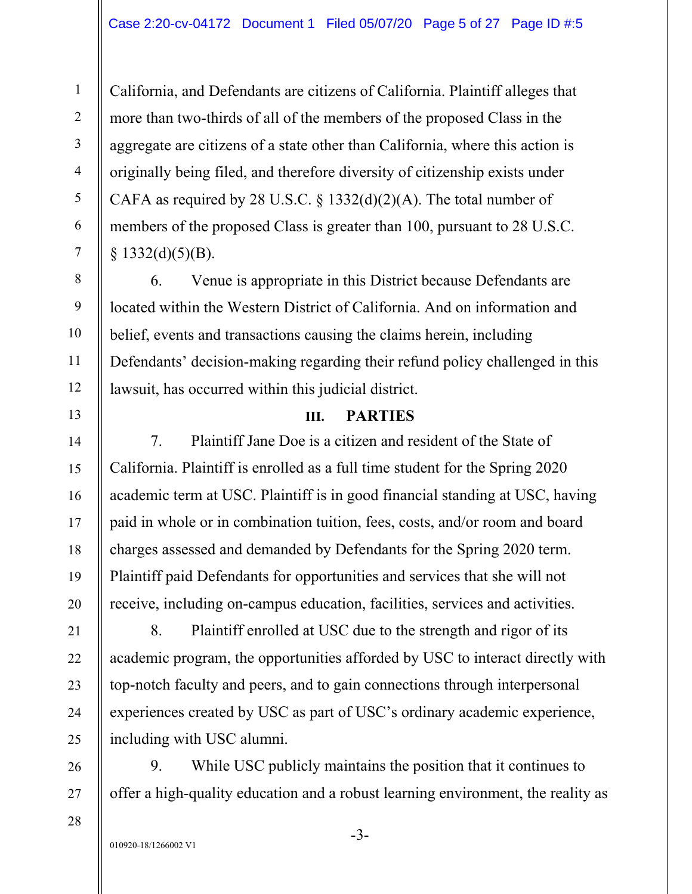California, and Defendants are citizens of California. Plaintiff alleges that more than two-thirds of all of the members of the proposed Class in the aggregate are citizens of a state other than California, where this action is originally being filed, and therefore diversity of citizenship exists under CAFA as required by 28 U.S.C.  $\S$  1332(d)(2)(A). The total number of members of the proposed Class is greater than 100, pursuant to 28 U.S.C.  $§$  1332(d)(5)(B).

6. Venue is appropriate in this District because Defendants are located within the Western District of California. And on information and belief, events and transactions causing the claims herein, including Defendants' decision-making regarding their refund policy challenged in this lawsuit, has occurred within this judicial district.

## **III. PARTIES**

7. Plaintiff Jane Doe is a citizen and resident of the State of California. Plaintiff is enrolled as a full time student for the Spring 2020 academic term at USC. Plaintiff is in good financial standing at USC, having paid in whole or in combination tuition, fees, costs, and/or room and board charges assessed and demanded by Defendants for the Spring 2020 term. Plaintiff paid Defendants for opportunities and services that she will not receive, including on-campus education, facilities, services and activities.

8. Plaintiff enrolled at USC due to the strength and rigor of its academic program, the opportunities afforded by USC to interact directly with top-notch faculty and peers, and to gain connections through interpersonal experiences created by USC as part of USC's ordinary academic experience, including with USC alumni.

9. While USC publicly maintains the position that it continues to offer a high-quality education and a robust learning environment, the reality as

010920-18/1266002 V1

1

2

3

4

5

6

7

8

9

10

11

12

13

14

15

16

17

18

19

20

21

22

23

24

25

26

27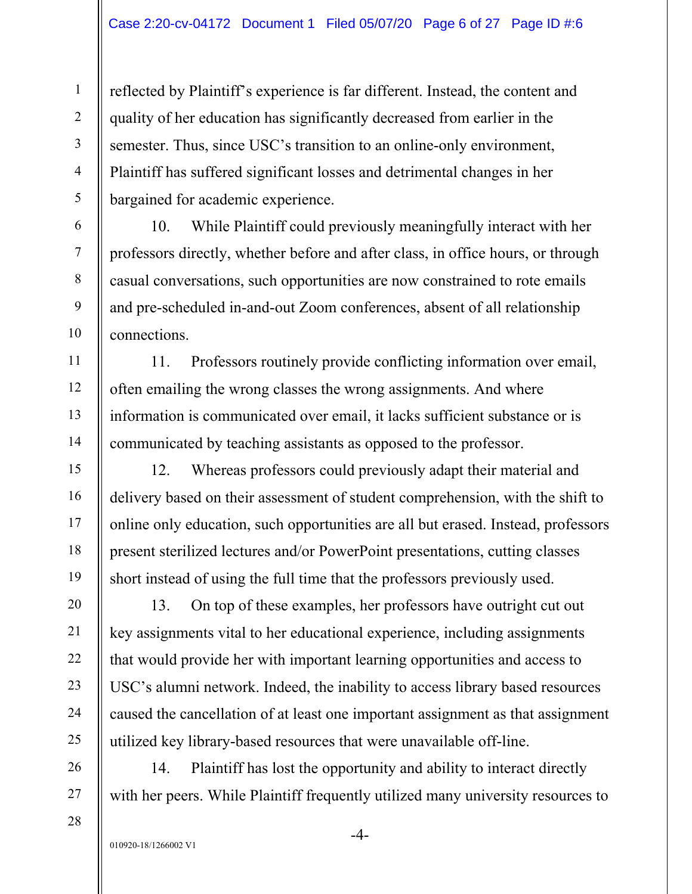reflected by Plaintiff's experience is far different. Instead, the content and quality of her education has significantly decreased from earlier in the semester. Thus, since USC's transition to an online-only environment, Plaintiff has suffered significant losses and detrimental changes in her bargained for academic experience.

10. While Plaintiff could previously meaningfully interact with her professors directly, whether before and after class, in office hours, or through casual conversations, such opportunities are now constrained to rote emails and pre-scheduled in-and-out Zoom conferences, absent of all relationship connections.

11. Professors routinely provide conflicting information over email, often emailing the wrong classes the wrong assignments. And where information is communicated over email, it lacks sufficient substance or is communicated by teaching assistants as opposed to the professor.

12. Whereas professors could previously adapt their material and delivery based on their assessment of student comprehension, with the shift to online only education, such opportunities are all but erased. Instead, professors present sterilized lectures and/or PowerPoint presentations, cutting classes short instead of using the full time that the professors previously used.

13. On top of these examples, her professors have outright cut out key assignments vital to her educational experience, including assignments that would provide her with important learning opportunities and access to USC's alumni network. Indeed, the inability to access library based resources caused the cancellation of at least one important assignment as that assignment utilized key library-based resources that were unavailable off-line.

14. Plaintiff has lost the opportunity and ability to interact directly with her peers. While Plaintiff frequently utilized many university resources to

1

2

3

4

5

6

7

8

9

10

11

12

13

14

15

16

17

18

19

20

21

22

23

24

25

-4-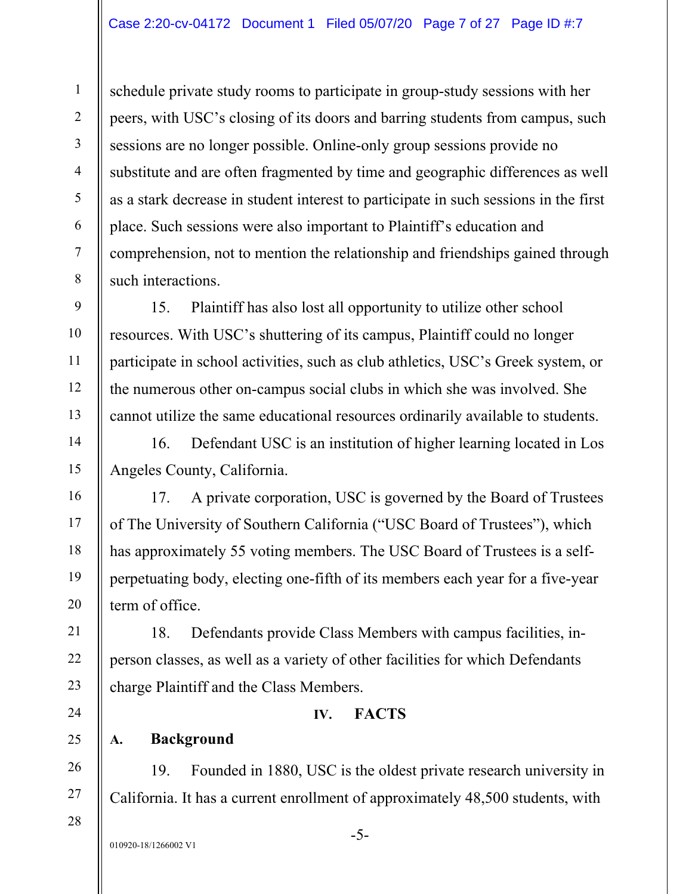schedule private study rooms to participate in group-study sessions with her peers, with USC's closing of its doors and barring students from campus, such sessions are no longer possible. Online-only group sessions provide no substitute and are often fragmented by time and geographic differences as well as a stark decrease in student interest to participate in such sessions in the first place. Such sessions were also important to Plaintiff's education and comprehension, not to mention the relationship and friendships gained through such interactions.

15. Plaintiff has also lost all opportunity to utilize other school resources. With USC's shuttering of its campus, Plaintiff could no longer participate in school activities, such as club athletics, USC's Greek system, or the numerous other on-campus social clubs in which she was involved. She cannot utilize the same educational resources ordinarily available to students.

16. Defendant USC is an institution of higher learning located in Los Angeles County, California.

17. A private corporation, USC is governed by the Board of Trustees of The University of Southern California ("USC Board of Trustees"), which has approximately 55 voting members. The USC Board of Trustees is a selfperpetuating body, electing one-fifth of its members each year for a five-year term of office.

18. Defendants provide Class Members with campus facilities, inperson classes, as well as a variety of other facilities for which Defendants charge Plaintiff and the Class Members.

# **IV. FACTS**

# **A. Background**

19. Founded in 1880, USC is the oldest private research university in California. It has a current enrollment of approximately 48,500 students, with

010920-18/1266002 V1

1

2

3

4

5

6

7

8

9

10

11

12

13

14

15

16

17

18

19

20

21

22

23

24

25

26

27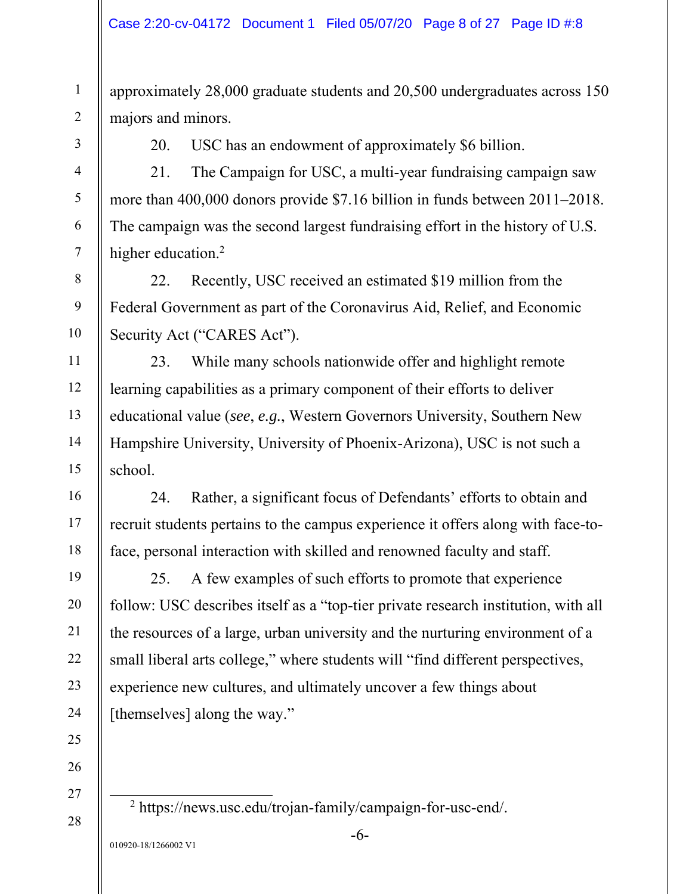approximately 28,000 graduate students and 20,500 undergraduates across 150 majors and minors.

1

2

3

4

5

6

7

8

9

10

11

12

13

14

15

16

17

18

19

20

21

22

23

24

25

26

27

28

20. USC has an endowment of approximately \$6 billion.

21. The Campaign for USC, a multi-year fundraising campaign saw more than 400,000 donors provide \$7.16 billion in funds between 2011–2018. The campaign was the second largest fundraising effort in the history of U.S. higher education.<sup>2</sup>

22. Recently, USC received an estimated \$19 million from the Federal Government as part of the Coronavirus Aid, Relief, and Economic Security Act ("CARES Act").

23. While many schools nationwide offer and highlight remote learning capabilities as a primary component of their efforts to deliver educational value (*see*, *e.g.*, Western Governors University, Southern New Hampshire University, University of Phoenix-Arizona), USC is not such a school.

24. Rather, a significant focus of Defendants' efforts to obtain and recruit students pertains to the campus experience it offers along with face-toface, personal interaction with skilled and renowned faculty and staff.

25. A few examples of such efforts to promote that experience follow: USC describes itself as a "top-tier private research institution, with all the resources of a large, urban university and the nurturing environment of a small liberal arts college," where students will "find different perspectives, experience new cultures, and ultimately uncover a few things about [themselves] along the way."

2 https://news.usc.edu/trojan-family/campaign-for-usc-end/.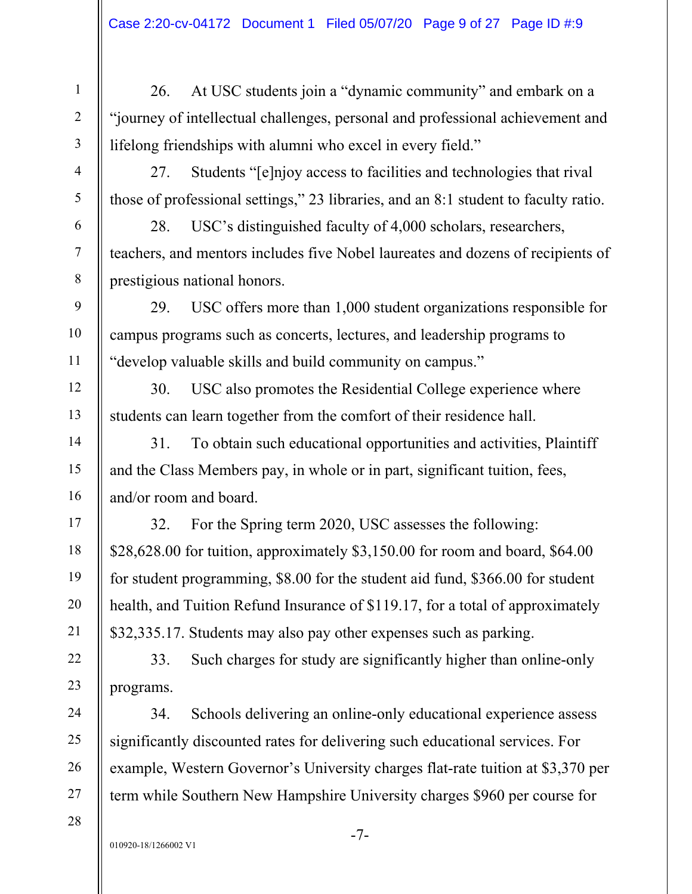26. At USC students join a "dynamic community" and embark on a "journey of intellectual challenges, personal and professional achievement and lifelong friendships with alumni who excel in every field."

27. Students "[e]njoy access to facilities and technologies that rival those of professional settings," 23 libraries, and an 8:1 student to faculty ratio.

28. USC's distinguished faculty of 4,000 scholars, researchers, teachers, and mentors includes five Nobel laureates and dozens of recipients of prestigious national honors.

29. USC offers more than 1,000 student organizations responsible for campus programs such as concerts, lectures, and leadership programs to "develop valuable skills and build community on campus."

30. USC also promotes the Residential College experience where students can learn together from the comfort of their residence hall.

31. To obtain such educational opportunities and activities, Plaintiff and the Class Members pay, in whole or in part, significant tuition, fees, and/or room and board.

32. For the Spring term 2020, USC assesses the following: \$28,628.00 for tuition, approximately \$3,150.00 for room and board, \$64.00 for student programming, \$8.00 for the student aid fund, \$366.00 for student health, and Tuition Refund Insurance of \$119.17, for a total of approximately \$32,335.17. Students may also pay other expenses such as parking.

33. Such charges for study are significantly higher than online-only programs.

34. Schools delivering an online-only educational experience assess significantly discounted rates for delivering such educational services. For example, Western Governor's University charges flat-rate tuition at \$3,370 per term while Southern New Hampshire University charges \$960 per course for

1

2

3

4

5

6

7

8

9

10

11

12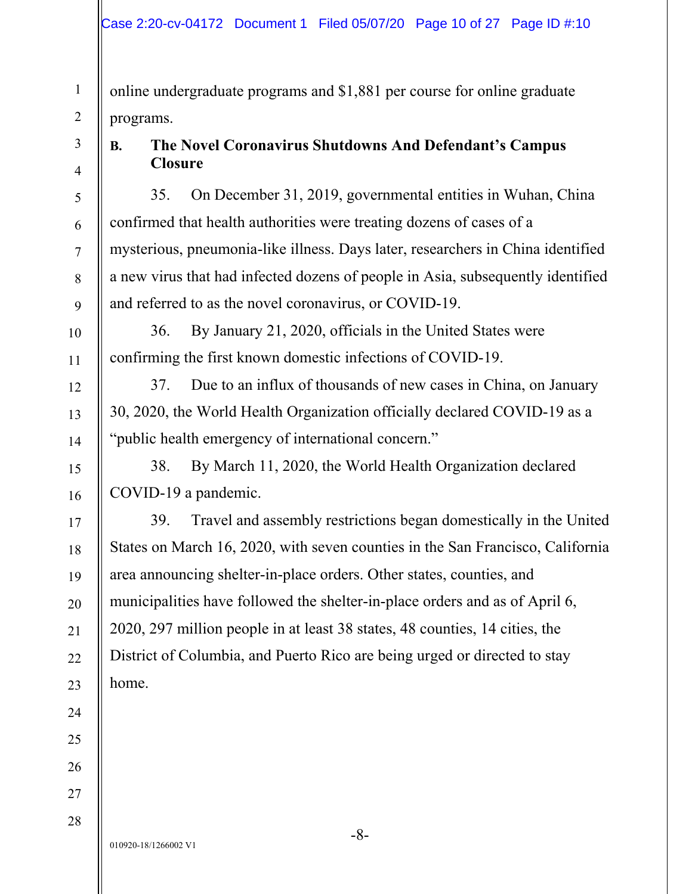online undergraduate programs and \$1,881 per course for online graduate programs.

1

2

3

4

5

# **B. The Novel Coronavirus Shutdowns And Defendant's Campus Closure**

35. On December 31, 2019, governmental entities in Wuhan, China confirmed that health authorities were treating dozens of cases of a mysterious, pneumonia-like illness. Days later, researchers in China identified a new virus that had infected dozens of people in Asia, subsequently identified and referred to as the novel coronavirus, or COVID-19.

36. By January 21, 2020, officials in the United States were confirming the first known domestic infections of COVID-19.

37. Due to an influx of thousands of new cases in China, on January 30, 2020, the World Health Organization officially declared COVID-19 as a "public health emergency of international concern."

38. By March 11, 2020, the World Health Organization declared COVID-19 a pandemic.

39. Travel and assembly restrictions began domestically in the United States on March 16, 2020, with seven counties in the San Francisco, California area announcing shelter-in-place orders. Other states, counties, and municipalities have followed the shelter-in-place orders and as of April 6, 2020, 297 million people in at least 38 states, 48 counties, 14 cities, the District of Columbia, and Puerto Rico are being urged or directed to stay home.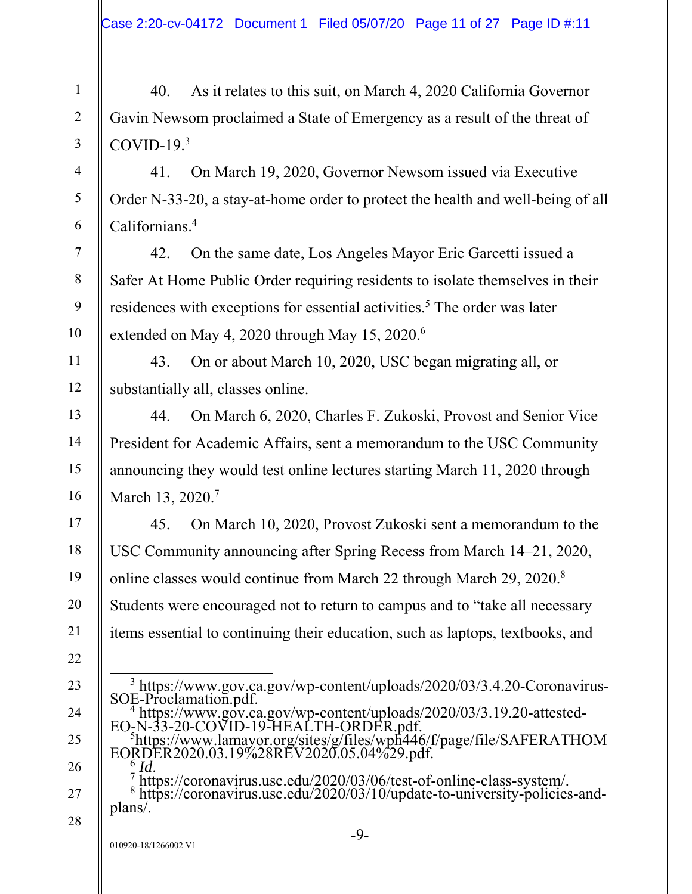40. As it relates to this suit, on March 4, 2020 California Governor Gavin Newsom proclaimed a State of Emergency as a result of the threat of COVID-19. $3$ 

41. On March 19, 2020, Governor Newsom issued via Executive Order N-33-20, a stay-at-home order to protect the health and well-being of all Californians.4

42. On the same date, Los Angeles Mayor Eric Garcetti issued a Safer At Home Public Order requiring residents to isolate themselves in their residences with exceptions for essential activities.<sup>5</sup> The order was later extended on May 4, 2020 through May 15, 2020.<sup>6</sup>

43. On or about March 10, 2020, USC began migrating all, or substantially all, classes online.

44. On March 6, 2020, Charles F. Zukoski, Provost and Senior Vice President for Academic Affairs, sent a memorandum to the USC Community announcing they would test online lectures starting March 11, 2020 through March 13, 2020.<sup>7</sup>

45. On March 10, 2020, Provost Zukoski sent a memorandum to the USC Community announcing after Spring Recess from March 14–21, 2020, online classes would continue from March 22 through March 29, 2020.8 Students were encouraged not to return to campus and to "take all necessary items essential to continuing their education, such as laptops, textbooks, and

 https://www.gov.ca.gov/wp-content/uploads/2020/03/3.19.20-attested- $E$ O-N-33-20-COVID-19-HEALTH-ORDER.pdf. https://www.lamayor.org/sites/g/files/wph446/f/page/file/SAFERATHOM

1

2

3

4

5

6

7

8

9

10

11

12

13

14

15

16

17

18

19

20

21

22

23

24

25

26

27

 <sup>3</sup> https://www.gov.ca.gov/wp-content/uploads/2020/03/3.4.20-Coronavirus- $SOE-Proclamation.pdf.$ <sup>4</sup> https://www.gov.ca

EORDER2020.03.19%28REV2020.05.04%29.pdf.

<sup>&</sup>lt;sup>6</sup> *Id*.<br>Thttps://coronavirus.usc.edu/2020/03/06/test-of-online-class-system/. 8 https://coronavirus.usc.edu/2020/03/10/update-to-university-policies-andplans/.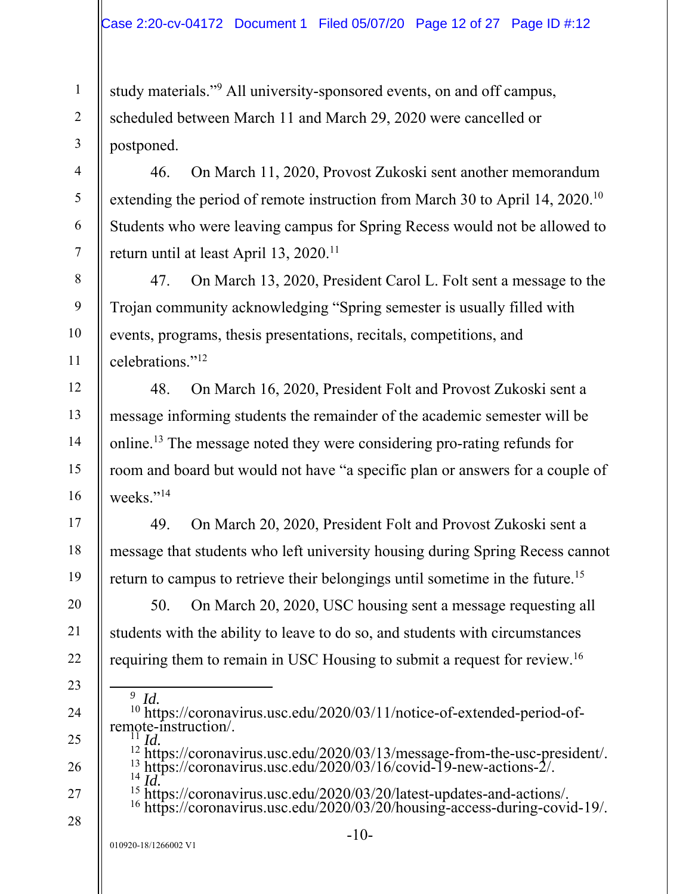study materials."<sup>9</sup> All university-sponsored events, on and off campus, scheduled between March 11 and March 29, 2020 were cancelled or postponed.

46. On March 11, 2020, Provost Zukoski sent another memorandum extending the period of remote instruction from March 30 to April 14, 2020.<sup>10</sup> Students who were leaving campus for Spring Recess would not be allowed to return until at least April 13, 2020.<sup>11</sup>

47. On March 13, 2020, President Carol L. Folt sent a message to the Trojan community acknowledging "Spring semester is usually filled with events, programs, thesis presentations, recitals, competitions, and celebrations."12

48. On March 16, 2020, President Folt and Provost Zukoski sent a message informing students the remainder of the academic semester will be online.13 The message noted they were considering pro-rating refunds for room and board but would not have "a specific plan or answers for a couple of weeks."<sup>14</sup>

49. On March 20, 2020, President Folt and Provost Zukoski sent a message that students who left university housing during Spring Recess cannot return to campus to retrieve their belongings until sometime in the future.15

50. On March 20, 2020, USC housing sent a message requesting all students with the ability to leave to do so, and students with circumstances requiring them to remain in USC Housing to submit a request for review.16

 $\frac{9}{10}$  *Id.* <sup>10</sup> https://coronavirus.usc.edu/2020/03/11/notice-of-extended-period-ofremote-instruction.

<sup>11</sup> *Id.*<br><sup>12</sup> https://coronavirus.usc.edu/2020/03/13/message-from-the-usc-president/.

1

2

3

4

5

6

7

8

9

10

11

12

13

14

15

16

17

18

19

20

21

22

23

24

25

26

27

28

13 https://coronavirus.usc.edu/2020/03/16/covid-19-new-actions-2/.<br>
<sup>14</sup> *Id.* https://coronavirus.usc.edu/2020/03/20/latest-updates-and-actions/. <sup>15</sup> https://coronavirus.usc.edu/2020/03/20/latest-updates-and-actions/.<br><sup>16</sup> https://coronavirus.usc.edu/2020/03/20/housing-access-during-covid-19/.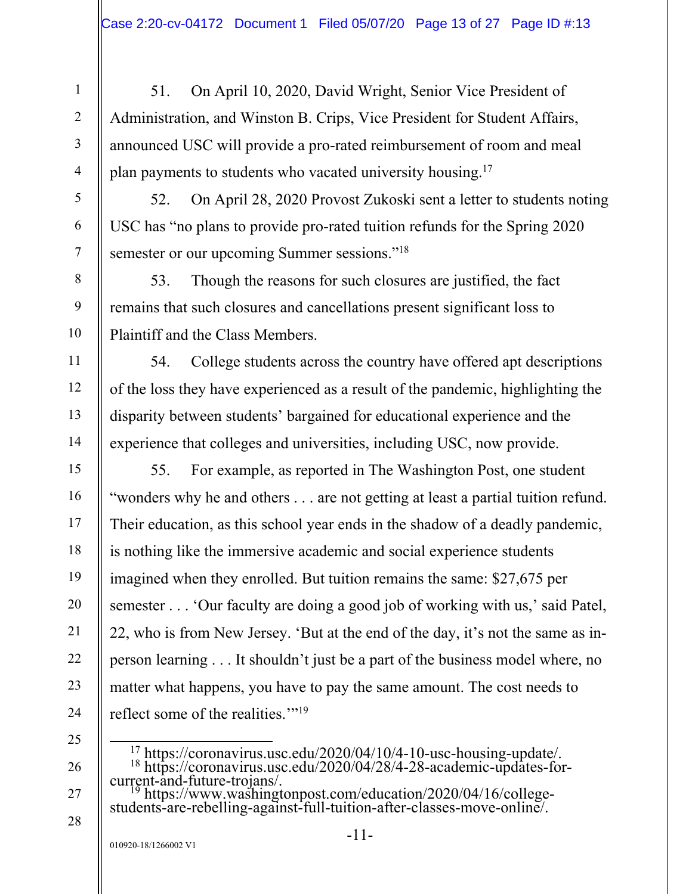51. On April 10, 2020, David Wright, Senior Vice President of Administration, and Winston B. Crips, Vice President for Student Affairs, announced USC will provide a pro-rated reimbursement of room and meal plan payments to students who vacated university housing.17

52. On April 28, 2020 Provost Zukoski sent a letter to students noting USC has "no plans to provide pro-rated tuition refunds for the Spring 2020 semester or our upcoming Summer sessions."<sup>18</sup>

53. Though the reasons for such closures are justified, the fact remains that such closures and cancellations present significant loss to Plaintiff and the Class Members.

54. College students across the country have offered apt descriptions of the loss they have experienced as a result of the pandemic, highlighting the disparity between students' bargained for educational experience and the experience that colleges and universities, including USC, now provide.

55. For example, as reported in The Washington Post, one student "wonders why he and others . . . are not getting at least a partial tuition refund. Their education, as this school year ends in the shadow of a deadly pandemic, is nothing like the immersive academic and social experience students imagined when they enrolled. But tuition remains the same: \$27,675 per semester . . . 'Our faculty are doing a good job of working with us,' said Patel, 22, who is from New Jersey. 'But at the end of the day, it's not the same as inperson learning . . . It shouldn't just be a part of the business model where, no matter what happens, you have to pay the same amount. The cost needs to reflect some of the realities."<sup>19</sup>

25

1

2

3

4

5

6

7

8

9

10

11

12

13

14

15

16

17

18

19

20

21

22

23

24

26 27

28

18 https://coronavirus.usc.edu/2020/04/28/4-28-academic-updates-for-

current-and-future-trojans/.<br><sup>19</sup> https://www.washingtonpost.com/education/2020/04/16/college-<br>students-are-rebelling-against-full-tuition-after-classes-move-online/.

<sup>17</sup> https://coronavirus.usc.edu/2020/04/10/4-10-usc-housing-update/.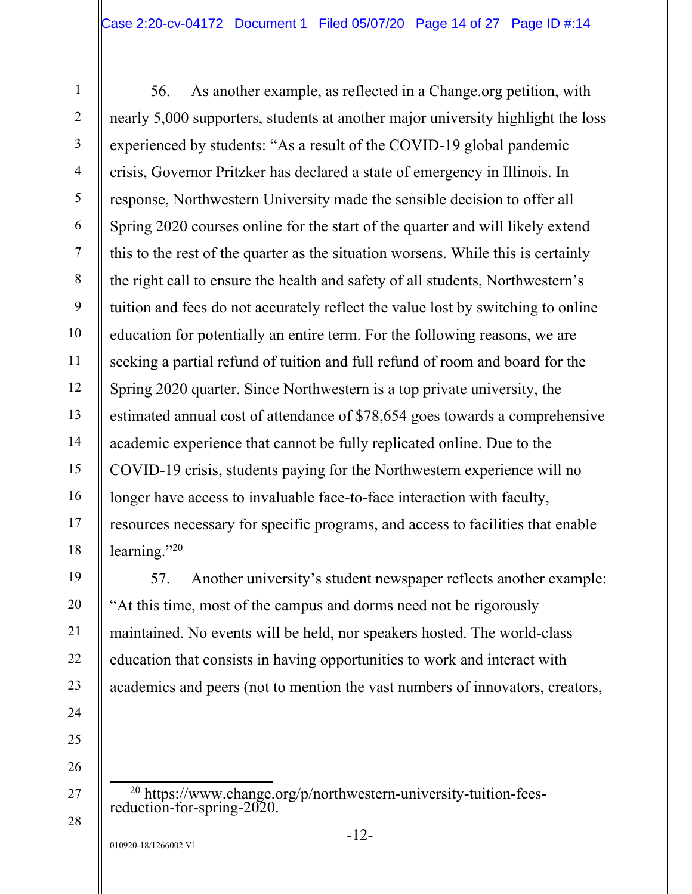56. As another example, as reflected in a Change.org petition, with nearly 5,000 supporters, students at another major university highlight the loss experienced by students: "As a result of the COVID-19 global pandemic crisis, Governor Pritzker has declared a state of emergency in Illinois. In response, Northwestern University made the sensible decision to offer all Spring 2020 courses online for the start of the quarter and will likely extend this to the rest of the quarter as the situation worsens. While this is certainly the right call to ensure the health and safety of all students, Northwestern's tuition and fees do not accurately reflect the value lost by switching to online education for potentially an entire term. For the following reasons, we are seeking a partial refund of tuition and full refund of room and board for the Spring 2020 quarter. Since Northwestern is a top private university, the estimated annual cost of attendance of \$78,654 goes towards a comprehensive academic experience that cannot be fully replicated online. Due to the COVID-19 crisis, students paying for the Northwestern experience will no longer have access to invaluable face-to-face interaction with faculty, resources necessary for specific programs, and access to facilities that enable learning."20

57. Another university's student newspaper reflects another example: "At this time, most of the campus and dorms need not be rigorously maintained. No events will be held, nor speakers hosted. The world-class education that consists in having opportunities to work and interact with academics and peers (not to mention the vast numbers of innovators, creators,

20 https://www.change.org/p/northwestern-university-tuition-fees- reduction-for-spring-2020.

1

2

3

4

5

6

7

8

9

10

11

12

13

14

15

16

17

18

19

20

21

22

23

24

25

26

27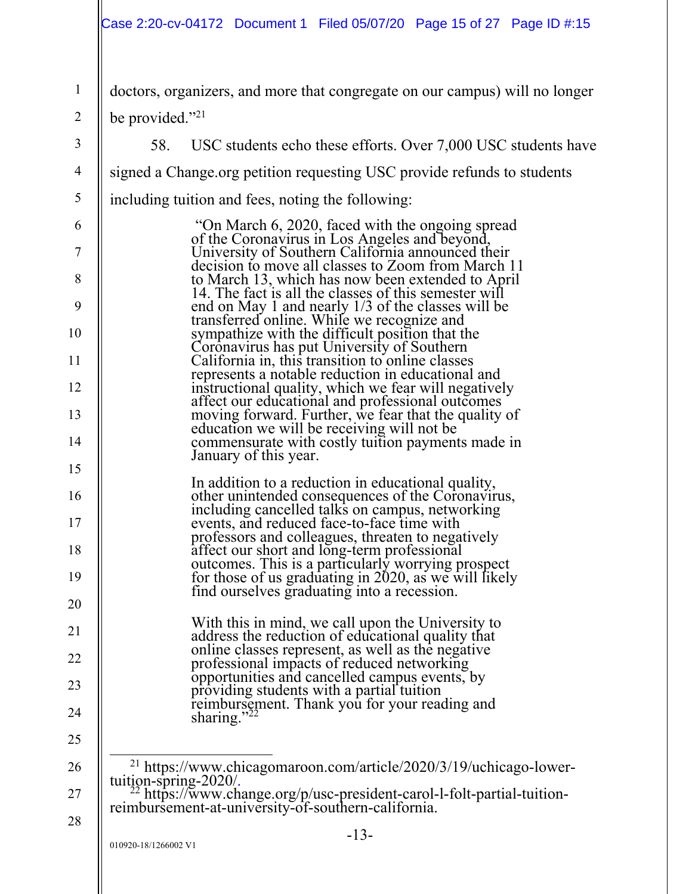## Case 2:20-cv-04172 Document 1 Filed 05/07/20 Page 15 of 27 Page ID #:15

| doctors, organizers, and more that congregate on our campus) will no longer |  |  |
|-----------------------------------------------------------------------------|--|--|
| $\parallel$ be provided." <sup>21</sup>                                     |  |  |
| USC students echo these efforts. Over 7,000 USC students have               |  |  |

-13- 4 5 6 7 8 9 10 11 12 13 14 15 16 17 18 19 20 21 22 23 24 25 26 27 28 signed a Change.org petition requesting USC provide refunds to students including tuition and fees, noting the following: "On March 6, 2020, faced with the ongoing spread of the Coronavirus in Los Angeles and beyond, University of Southern California announced their decision to move all classes to Zoom from March 11 to March 13, which has now been extended to April 14. The fact is all the classes of this semester will end on May 1 and nearly 1/3 of the classes will be transferred online. While we recognize and sympathize with the difficult position that the Coronavirus has put University of Southern California in, this transition to online classes represents a notable reduction in educational and instructional quality, which we fear will negatively affect our educational and professional outcomes moving forward. Further, we fear that the quality of education we will be receiving will not be commensurate with costly tuition payments made in January of this year. In addition to a reduction in educational quality, other unintended consequences of the Coronavirus, including cancelled talks on campus, networking events, and reduced face-to-face time with professors and colleagues, threaten to negatively affect our short and long-term professional outcomes. This is a particularly worrying prospect for those of us graduating in 2020, as we will likely<br>find ourselves graduating into a recession. With this in mind, we call upon the University to address the reduction of educational quality that online classes represent, as well as the negative professional impacts of reduced networking opportunities and cancelled campus events, by providing students with a partial tuition reimbursement. Thank you for your reading and sharing."<sup>22</sup> <sup>21</sup> https://www.chicagomaroon.com/article/2020/3/19/uchicago-lower-<br>tuition-spring-2020/.<br><sup>22</sup> https://www.change.org/p/usc-president-carol-l-folt-partial-tuitionreimbursement-at-university-of-southern-california.

1

2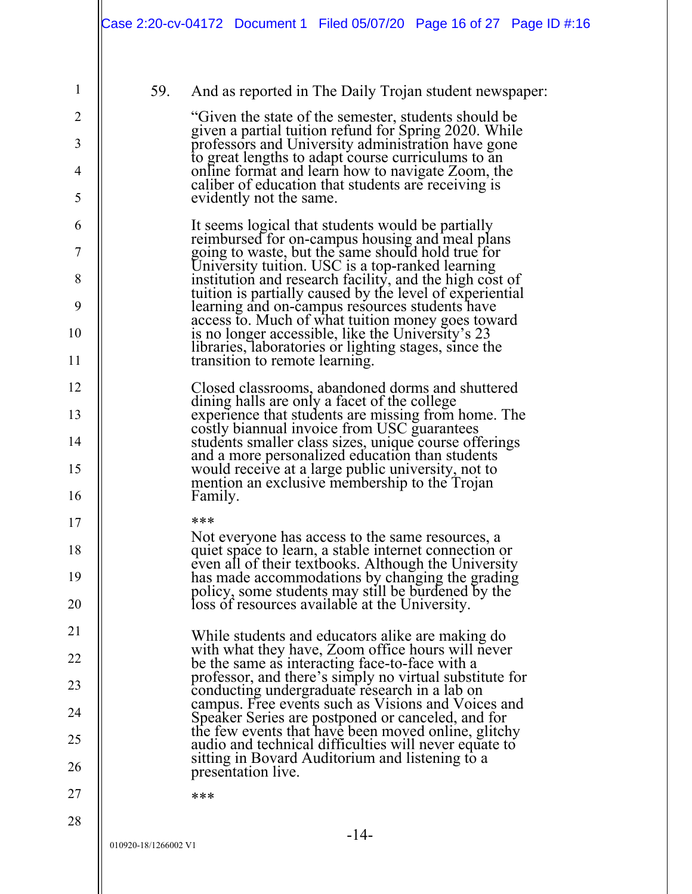| í<br>/ |  |
|--------|--|

3

4

5

6

7

8

9

10

11

12

13

14

15

16

17

18

19

20

21

22

23

24

25

26

27

28

59. And as reported in The Daily Trojan student newspaper:

"Given the state of the semester, students should be given a partial tuition refund for Spring 2020. While professors and University administration have gone to great lengths to adapt course curriculums to an online format and learn how to navigate Zoom, the caliber of education that students are receiving is evidently not the same.

It seems logical that students would be partially reimbursed for on-campus housing and meal plans reimbursed for on-campus housing and meal plans going to waste, but the same should hold true for University tuition. USC is a top-ranked learning institution and research facility, and the high cost of tuition is partially caused by the level of experiential learning and on-campus resources students have access to. Much of what tuition money goes toward is no longer accessible, like the University's 23 libraries, laboratories or lighting stages, since the transition to remote learning.

Closed classrooms, abandoned dorms and shuttered dining halls are only a facet of the college experience that students are missing from home. The costly biannual invoice from USC guarantees students smaller class sizes, unique course offerings and a more personalized education than students would receive at a large public university, not to mention an exclusive membership to the Trojan Family.

\*\*\*

Not everyone has access to the same resources, a quiet space to learn, a stable internet connection or even all of their textbooks. Although the University has made accommodations by changing the grading policy, some students may still be burdened by the loss of resources available at the University.

While students and educators alike are making do with what they have, Zoom office hours will never be the same as interacting face-to-face with a professor, and there's simply no virtual substitute for conducting undergraduate research in a lab on campus. Free events such as Visions and Voices and Speaker Series are postponed or canceled, and for the few events that have been moved online, glitchy audio and technical difficulties will never equate to sitting in Bovard Auditorium and listening to a presentation live.

\*\*\*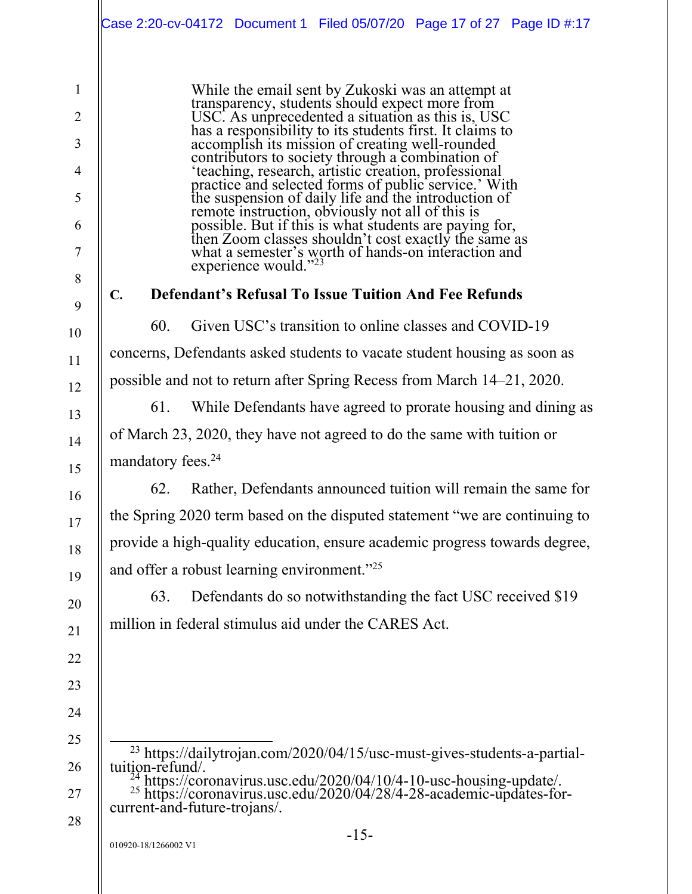|                                                                                                         | Case 2:20-cv-04172 Document 1 Filed 05/07/20 Page 17 of 27 Page ID #:17                                                                                                                                                                                                                                                                                                                                                                                                                                                                                                                                                                                                                                                                         |
|---------------------------------------------------------------------------------------------------------|-------------------------------------------------------------------------------------------------------------------------------------------------------------------------------------------------------------------------------------------------------------------------------------------------------------------------------------------------------------------------------------------------------------------------------------------------------------------------------------------------------------------------------------------------------------------------------------------------------------------------------------------------------------------------------------------------------------------------------------------------|
| $\mathbf{1}$<br>$\overline{2}$<br>$\overline{3}$<br>$\overline{4}$<br>5<br>6<br>$\overline{7}$<br>$8\,$ | While the email sent by Zukoski was an attempt at transparency, students should expect more from USC. As unprecedented a situation as this is, USC has a responsibility to its students first. It claims to<br>accomplish its mission of creating well-rounded<br>contributors to society through a combination of<br>'teaching, research, artistic creation, professional<br>practice and selected forms of public service.' With<br>the suspension of daily life and the introduction of<br>remote instruction, obviously not all of this is<br>possible. But if this is what students are paying for,<br>then Zoom classes shouldn't cost exactly the same as<br>what a semester's worth of hands-on interaction and<br>experience would."23 |
| 9                                                                                                       | <b>Defendant's Refusal To Issue Tuition And Fee Refunds</b><br>$C_{\bullet}$                                                                                                                                                                                                                                                                                                                                                                                                                                                                                                                                                                                                                                                                    |
| 10                                                                                                      | 60.<br>Given USC's transition to online classes and COVID-19                                                                                                                                                                                                                                                                                                                                                                                                                                                                                                                                                                                                                                                                                    |
| 11                                                                                                      | concerns, Defendants asked students to vacate student housing as soon as                                                                                                                                                                                                                                                                                                                                                                                                                                                                                                                                                                                                                                                                        |
| 12                                                                                                      | possible and not to return after Spring Recess from March 14–21, 2020.                                                                                                                                                                                                                                                                                                                                                                                                                                                                                                                                                                                                                                                                          |
| 13                                                                                                      | 61.<br>While Defendants have agreed to prorate housing and dining as                                                                                                                                                                                                                                                                                                                                                                                                                                                                                                                                                                                                                                                                            |
| 14                                                                                                      | of March 23, 2020, they have not agreed to do the same with tuition or                                                                                                                                                                                                                                                                                                                                                                                                                                                                                                                                                                                                                                                                          |
| 15                                                                                                      | mandatory fees. <sup>24</sup>                                                                                                                                                                                                                                                                                                                                                                                                                                                                                                                                                                                                                                                                                                                   |
| 16                                                                                                      | Rather, Defendants announced tuition will remain the same for<br>62.                                                                                                                                                                                                                                                                                                                                                                                                                                                                                                                                                                                                                                                                            |
| 17                                                                                                      | the Spring 2020 term based on the disputed statement "we are continuing to                                                                                                                                                                                                                                                                                                                                                                                                                                                                                                                                                                                                                                                                      |
| 18                                                                                                      | provide a high-quality education, ensure academic progress towards degree,                                                                                                                                                                                                                                                                                                                                                                                                                                                                                                                                                                                                                                                                      |
| 19                                                                                                      | and offer a robust learning environment." <sup>25</sup>                                                                                                                                                                                                                                                                                                                                                                                                                                                                                                                                                                                                                                                                                         |
| 20                                                                                                      | Defendants do so notwithstanding the fact USC received \$19<br>63.                                                                                                                                                                                                                                                                                                                                                                                                                                                                                                                                                                                                                                                                              |
| 21                                                                                                      | million in federal stimulus aid under the CARES Act.                                                                                                                                                                                                                                                                                                                                                                                                                                                                                                                                                                                                                                                                                            |
| 22                                                                                                      |                                                                                                                                                                                                                                                                                                                                                                                                                                                                                                                                                                                                                                                                                                                                                 |
| 23                                                                                                      |                                                                                                                                                                                                                                                                                                                                                                                                                                                                                                                                                                                                                                                                                                                                                 |
| 24                                                                                                      |                                                                                                                                                                                                                                                                                                                                                                                                                                                                                                                                                                                                                                                                                                                                                 |
| 25                                                                                                      | <sup>23</sup> https://dailytrojan.com/2020/04/15/usc-must-gives-students-a-partial-                                                                                                                                                                                                                                                                                                                                                                                                                                                                                                                                                                                                                                                             |
| 26<br>27                                                                                                | tuition-refund/.<br>$^{24}$ https://coronavirus.usc.edu/2020/04/10/4-10-usc-housing-update/.<br><sup>25</sup> https://coronavirus.usc.edu/2020/04/28/4-28-academic-updates-for-                                                                                                                                                                                                                                                                                                                                                                                                                                                                                                                                                                 |
| 28                                                                                                      | current-and-future-trojans/.                                                                                                                                                                                                                                                                                                                                                                                                                                                                                                                                                                                                                                                                                                                    |
|                                                                                                         | $-15-$<br>010920-18/1266002 V1                                                                                                                                                                                                                                                                                                                                                                                                                                                                                                                                                                                                                                                                                                                  |
|                                                                                                         |                                                                                                                                                                                                                                                                                                                                                                                                                                                                                                                                                                                                                                                                                                                                                 |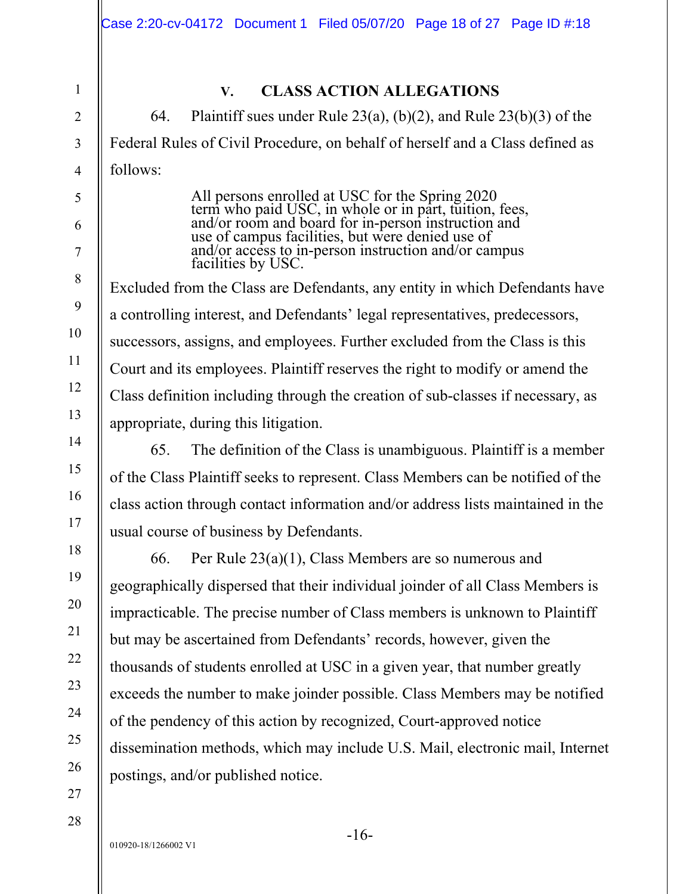2 3

4

5

6

7

8

9

10

11

12

13

14

15

16

17

18

19

1

# **V. CLASS ACTION ALLEGATIONS**

64. Plaintiff sues under Rule  $23(a)$ , (b)(2), and Rule  $23(b)(3)$  of the Federal Rules of Civil Procedure, on behalf of herself and a Class defined as follows:

> All persons enrolled at USC for the Spring 2020<br>term who paid USC, in whole or in part, tuition, fees, and/or room and board for in-person instruction and use of campus facilities, but were denied use of and/or access to in-person instruction and/or campus facilities by USC.

Excluded from the Class are Defendants, any entity in which Defendants have a controlling interest, and Defendants' legal representatives, predecessors, successors, assigns, and employees. Further excluded from the Class is this Court and its employees. Plaintiff reserves the right to modify or amend the Class definition including through the creation of sub-classes if necessary, as appropriate, during this litigation.

65. The definition of the Class is unambiguous. Plaintiff is a member of the Class Plaintiff seeks to represent. Class Members can be notified of the class action through contact information and/or address lists maintained in the usual course of business by Defendants.

66. Per Rule 23(a)(1), Class Members are so numerous and geographically dispersed that their individual joinder of all Class Members is impracticable. The precise number of Class members is unknown to Plaintiff but may be ascertained from Defendants' records, however, given the thousands of students enrolled at USC in a given year, that number greatly exceeds the number to make joinder possible. Class Members may be notified of the pendency of this action by recognized, Court-approved notice dissemination methods, which may include U.S. Mail, electronic mail, Internet postings, and/or published notice.

27 28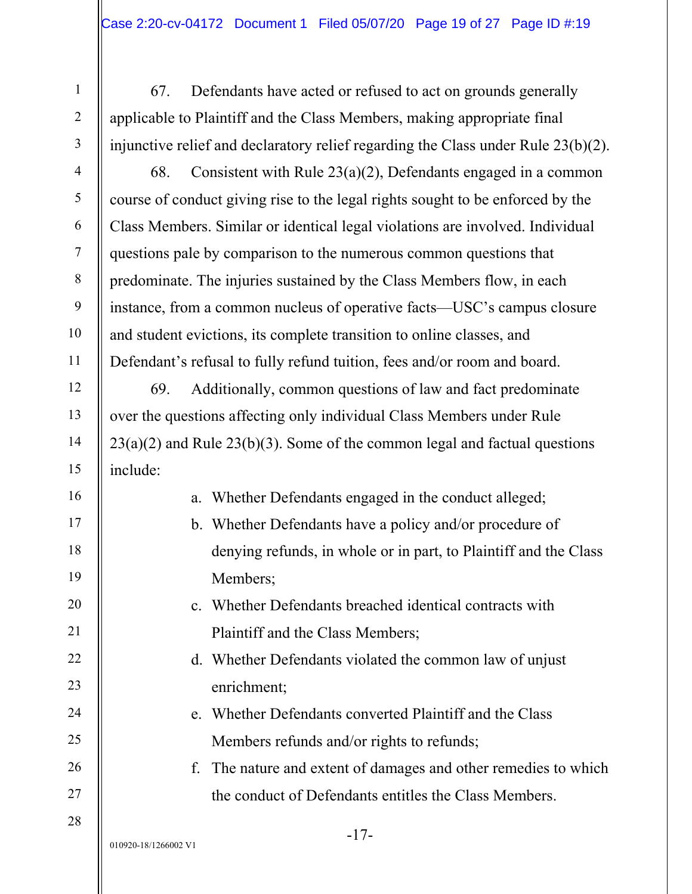67. Defendants have acted or refused to act on grounds generally applicable to Plaintiff and the Class Members, making appropriate final injunctive relief and declaratory relief regarding the Class under Rule 23(b)(2).

68. Consistent with Rule 23(a)(2), Defendants engaged in a common course of conduct giving rise to the legal rights sought to be enforced by the Class Members. Similar or identical legal violations are involved. Individual questions pale by comparison to the numerous common questions that predominate. The injuries sustained by the Class Members flow, in each instance, from a common nucleus of operative facts—USC's campus closure and student evictions, its complete transition to online classes, and Defendant's refusal to fully refund tuition, fees and/or room and board.

69. Additionally, common questions of law and fact predominate over the questions affecting only individual Class Members under Rule  $23(a)(2)$  and Rule  $23(b)(3)$ . Some of the common legal and factual questions include:

| a. Whether Defendants engaged in the conduct alleged;            |
|------------------------------------------------------------------|
| b. Whether Defendants have a policy and/or procedure of          |
| denying refunds, in whole or in part, to Plaintiff and the Class |
| Members;                                                         |
| c. Whether Defendants breached identical contracts with          |
| Plaintiff and the Class Members;                                 |
| d. Whether Defendants violated the common law of unjust          |
| enrichment;                                                      |
| e. Whether Defendants converted Plaintiff and the Class          |
| Members refunds and/or rights to refunds;                        |

f. The nature and extent of damages and other remedies to which the conduct of Defendants entitles the Class Members.

1

2

3

4

5

6

7

8

9

10

11

12

13

14

15

16

17

18

19

20

21

22

23

24

25

26

27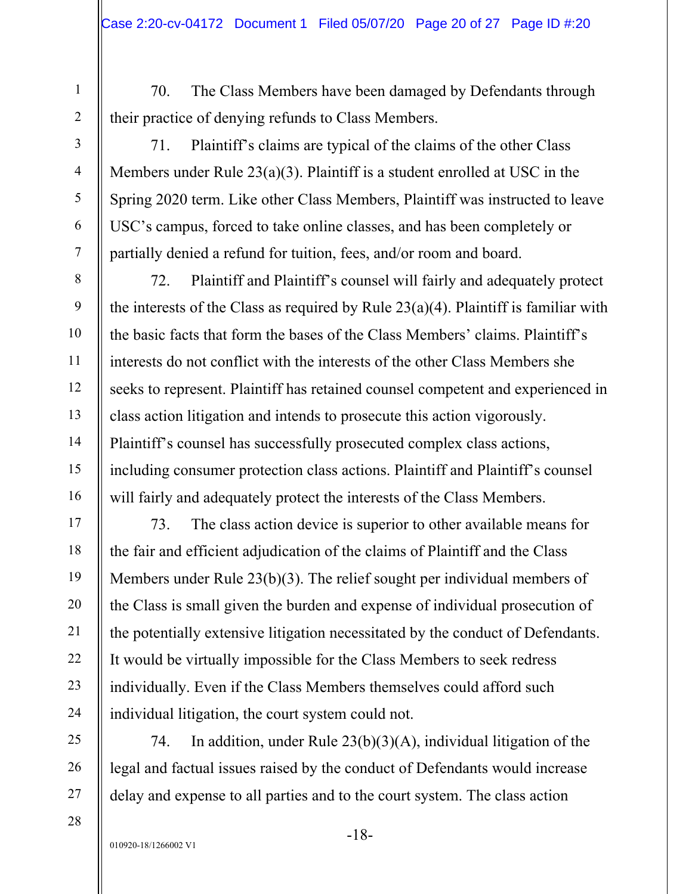70. The Class Members have been damaged by Defendants through their practice of denying refunds to Class Members.

71. Plaintiff's claims are typical of the claims of the other Class Members under Rule 23(a)(3). Plaintiff is a student enrolled at USC in the Spring 2020 term. Like other Class Members, Plaintiff was instructed to leave USC's campus, forced to take online classes, and has been completely or partially denied a refund for tuition, fees, and/or room and board.

72. Plaintiff and Plaintiff's counsel will fairly and adequately protect the interests of the Class as required by Rule  $23(a)(4)$ . Plaintiff is familiar with the basic facts that form the bases of the Class Members' claims. Plaintiff's interests do not conflict with the interests of the other Class Members she seeks to represent. Plaintiff has retained counsel competent and experienced in class action litigation and intends to prosecute this action vigorously. Plaintiff's counsel has successfully prosecuted complex class actions, including consumer protection class actions. Plaintiff and Plaintiff's counsel will fairly and adequately protect the interests of the Class Members.

73. The class action device is superior to other available means for the fair and efficient adjudication of the claims of Plaintiff and the Class Members under Rule 23(b)(3). The relief sought per individual members of the Class is small given the burden and expense of individual prosecution of the potentially extensive litigation necessitated by the conduct of Defendants. It would be virtually impossible for the Class Members to seek redress individually. Even if the Class Members themselves could afford such individual litigation, the court system could not.

74. In addition, under Rule 23(b)(3)(A), individual litigation of the legal and factual issues raised by the conduct of Defendants would increase delay and expense to all parties and to the court system. The class action

1

2

3

4

5

6

7

8

9

10

11

12

13

14

15

16

17

18

19

20

21

22

23

24

25

26

27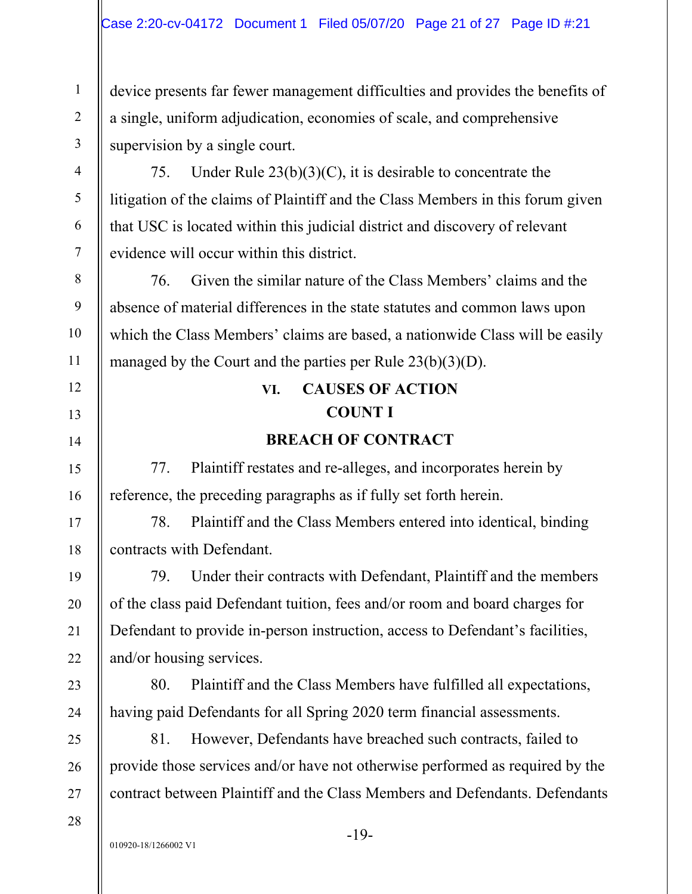device presents far fewer management difficulties and provides the benefits of a single, uniform adjudication, economies of scale, and comprehensive supervision by a single court.

75. Under Rule  $23(b)(3)(C)$ , it is desirable to concentrate the litigation of the claims of Plaintiff and the Class Members in this forum given that USC is located within this judicial district and discovery of relevant evidence will occur within this district.

76. Given the similar nature of the Class Members' claims and the absence of material differences in the state statutes and common laws upon which the Class Members' claims are based, a nationwide Class will be easily managed by the Court and the parties per Rule 23(b)(3)(D).

# **VI. CAUSES OF ACTION COUNT I**

# **BREACH OF CONTRACT**

77. Plaintiff restates and re-alleges, and incorporates herein by reference, the preceding paragraphs as if fully set forth herein.

78. Plaintiff and the Class Members entered into identical, binding contracts with Defendant.

79. Under their contracts with Defendant, Plaintiff and the members of the class paid Defendant tuition, fees and/or room and board charges for Defendant to provide in-person instruction, access to Defendant's facilities, and/or housing services.

80. Plaintiff and the Class Members have fulfilled all expectations, having paid Defendants for all Spring 2020 term financial assessments.

81. However, Defendants have breached such contracts, failed to provide those services and/or have not otherwise performed as required by the contract between Plaintiff and the Class Members and Defendants. Defendants

28

1

2

3

4

5

6

7

8

9

10

11

12

13

14

15

16

17

18

19

20

21

22

23

24

25

26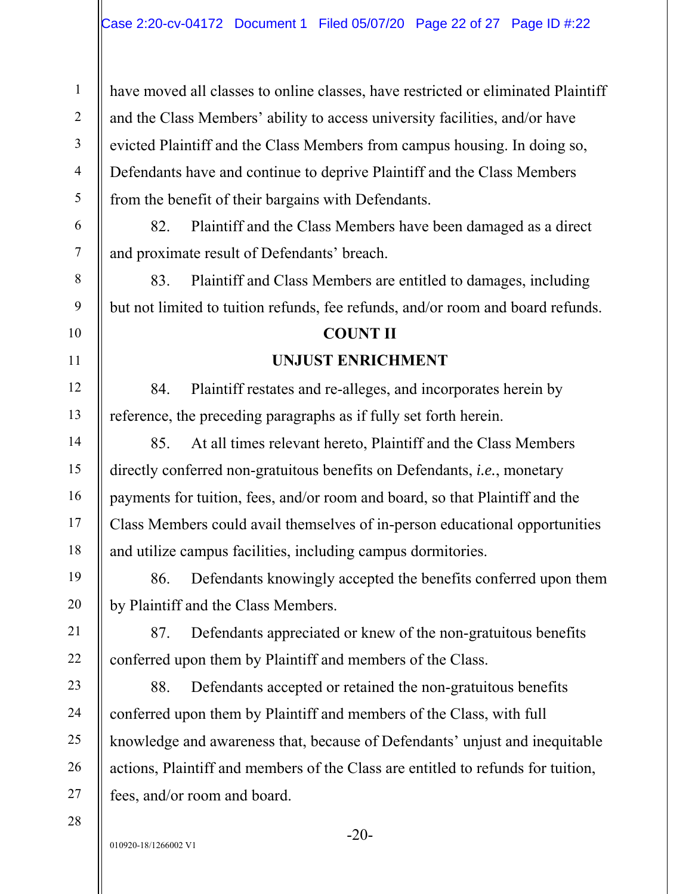have moved all classes to online classes, have restricted or eliminated Plaintiff and the Class Members' ability to access university facilities, and/or have evicted Plaintiff and the Class Members from campus housing. In doing so, Defendants have and continue to deprive Plaintiff and the Class Members from the benefit of their bargains with Defendants.

82. Plaintiff and the Class Members have been damaged as a direct and proximate result of Defendants' breach.

83. Plaintiff and Class Members are entitled to damages, including but not limited to tuition refunds, fee refunds, and/or room and board refunds.

## **COUNT II**

## **UNJUST ENRICHMENT**

84. Plaintiff restates and re-alleges, and incorporates herein by reference, the preceding paragraphs as if fully set forth herein.

85. At all times relevant hereto, Plaintiff and the Class Members directly conferred non-gratuitous benefits on Defendants, *i.e.*, monetary payments for tuition, fees, and/or room and board, so that Plaintiff and the Class Members could avail themselves of in-person educational opportunities and utilize campus facilities, including campus dormitories.

86. Defendants knowingly accepted the benefits conferred upon them by Plaintiff and the Class Members.

87. Defendants appreciated or knew of the non-gratuitous benefits conferred upon them by Plaintiff and members of the Class.

88. Defendants accepted or retained the non-gratuitous benefits conferred upon them by Plaintiff and members of the Class, with full knowledge and awareness that, because of Defendants' unjust and inequitable actions, Plaintiff and members of the Class are entitled to refunds for tuition, fees, and/or room and board.

28

1

2

3

4

5

6

7

8

9

10

11

12

13

14

15

16

17

18

19

20

21

22

23

24

25

26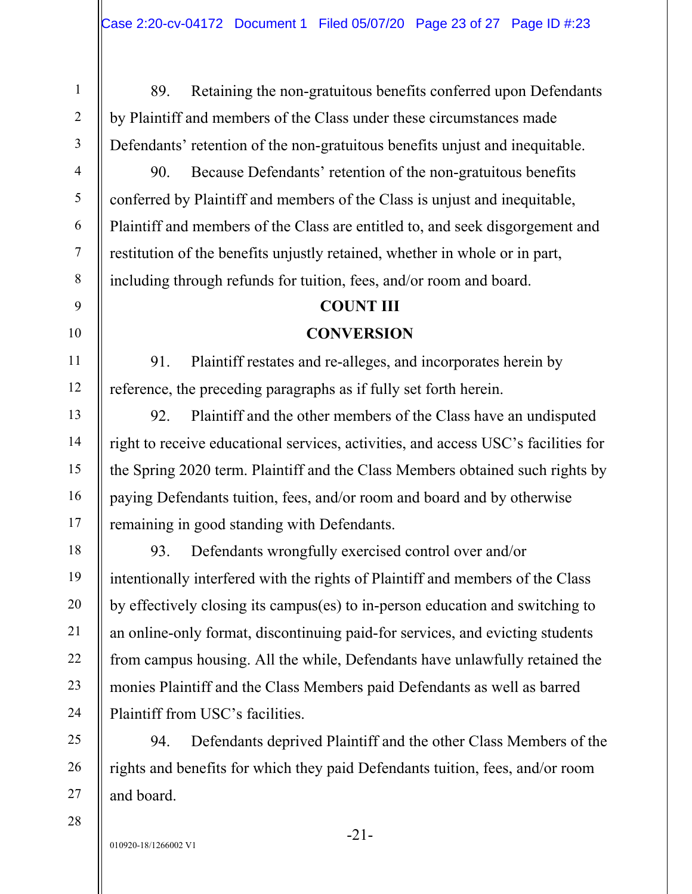89. Retaining the non-gratuitous benefits conferred upon Defendants by Plaintiff and members of the Class under these circumstances made Defendants' retention of the non-gratuitous benefits unjust and inequitable.

90. Because Defendants' retention of the non-gratuitous benefits conferred by Plaintiff and members of the Class is unjust and inequitable, Plaintiff and members of the Class are entitled to, and seek disgorgement and restitution of the benefits unjustly retained, whether in whole or in part, including through refunds for tuition, fees, and/or room and board.

# **COUNT III**

# **CONVERSION**

91. Plaintiff restates and re-alleges, and incorporates herein by reference, the preceding paragraphs as if fully set forth herein.

92. Plaintiff and the other members of the Class have an undisputed right to receive educational services, activities, and access USC's facilities for the Spring 2020 term. Plaintiff and the Class Members obtained such rights by paying Defendants tuition, fees, and/or room and board and by otherwise remaining in good standing with Defendants.

93. Defendants wrongfully exercised control over and/or intentionally interfered with the rights of Plaintiff and members of the Class by effectively closing its campus(es) to in-person education and switching to an online-only format, discontinuing paid-for services, and evicting students from campus housing. All the while, Defendants have unlawfully retained the monies Plaintiff and the Class Members paid Defendants as well as barred Plaintiff from USC's facilities.

94. Defendants deprived Plaintiff and the other Class Members of the rights and benefits for which they paid Defendants tuition, fees, and/or room and board.

28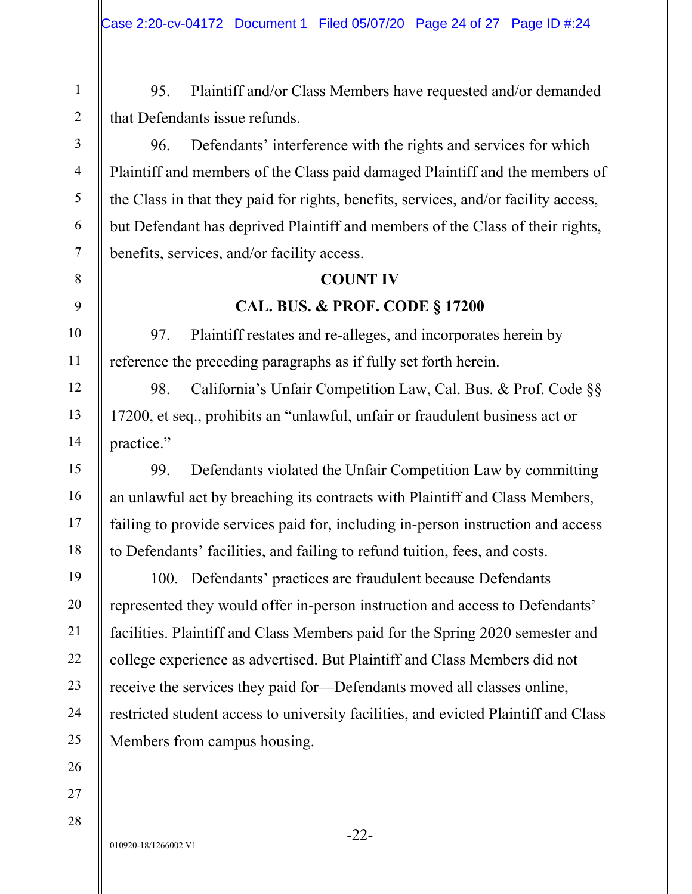95. Plaintiff and/or Class Members have requested and/or demanded that Defendants issue refunds.

96. Defendants' interference with the rights and services for which Plaintiff and members of the Class paid damaged Plaintiff and the members of the Class in that they paid for rights, benefits, services, and/or facility access, but Defendant has deprived Plaintiff and members of the Class of their rights, benefits, services, and/or facility access.

## **COUNT IV**

## **CAL. BUS. & PROF. CODE § 17200**

97. Plaintiff restates and re-alleges, and incorporates herein by reference the preceding paragraphs as if fully set forth herein.

98. California's Unfair Competition Law, Cal. Bus. & Prof. Code §§ 17200, et seq., prohibits an "unlawful, unfair or fraudulent business act or practice."

99. Defendants violated the Unfair Competition Law by committing an unlawful act by breaching its contracts with Plaintiff and Class Members, failing to provide services paid for, including in-person instruction and access to Defendants' facilities, and failing to refund tuition, fees, and costs.

100. Defendants' practices are fraudulent because Defendants represented they would offer in-person instruction and access to Defendants' facilities. Plaintiff and Class Members paid for the Spring 2020 semester and college experience as advertised. But Plaintiff and Class Members did not receive the services they paid for—Defendants moved all classes online, restricted student access to university facilities, and evicted Plaintiff and Class Members from campus housing.

1

2

3

4

5

6

7

8

9

10

11

12

13

14

15

16

17

18

19

20

21

22

23

24

25

26

27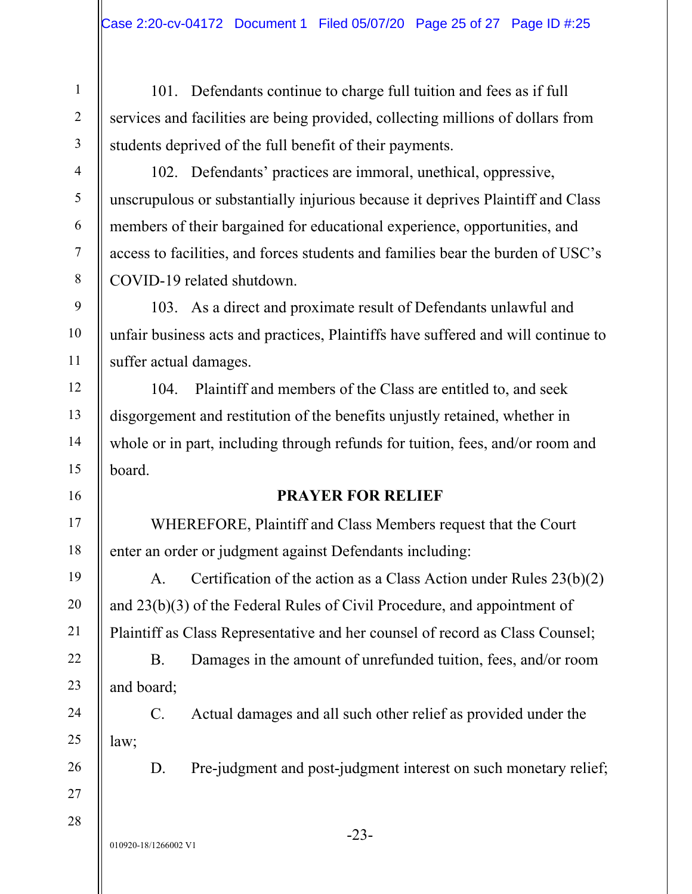101. Defendants continue to charge full tuition and fees as if full services and facilities are being provided, collecting millions of dollars from students deprived of the full benefit of their payments.

102. Defendants' practices are immoral, unethical, oppressive, unscrupulous or substantially injurious because it deprives Plaintiff and Class members of their bargained for educational experience, opportunities, and access to facilities, and forces students and families bear the burden of USC's COVID-19 related shutdown.

103. As a direct and proximate result of Defendants unlawful and unfair business acts and practices, Plaintiffs have suffered and will continue to suffer actual damages.

104. Plaintiff and members of the Class are entitled to, and seek disgorgement and restitution of the benefits unjustly retained, whether in whole or in part, including through refunds for tuition, fees, and/or room and board.

# **PRAYER FOR RELIEF**

WHEREFORE, Plaintiff and Class Members request that the Court enter an order or judgment against Defendants including:

A. Certification of the action as a Class Action under Rules 23(b)(2) and 23(b)(3) of the Federal Rules of Civil Procedure, and appointment of Plaintiff as Class Representative and her counsel of record as Class Counsel;

B. Damages in the amount of unrefunded tuition, fees, and/or room and board;

C. Actual damages and all such other relief as provided under the law;

26

1

2

3

4

5

6

7

8

9

10

11

12

13

14

15

16

17

18

19

20

21

22

23

24

25

27

28

D. Pre-judgment and post-judgment interest on such monetary relief;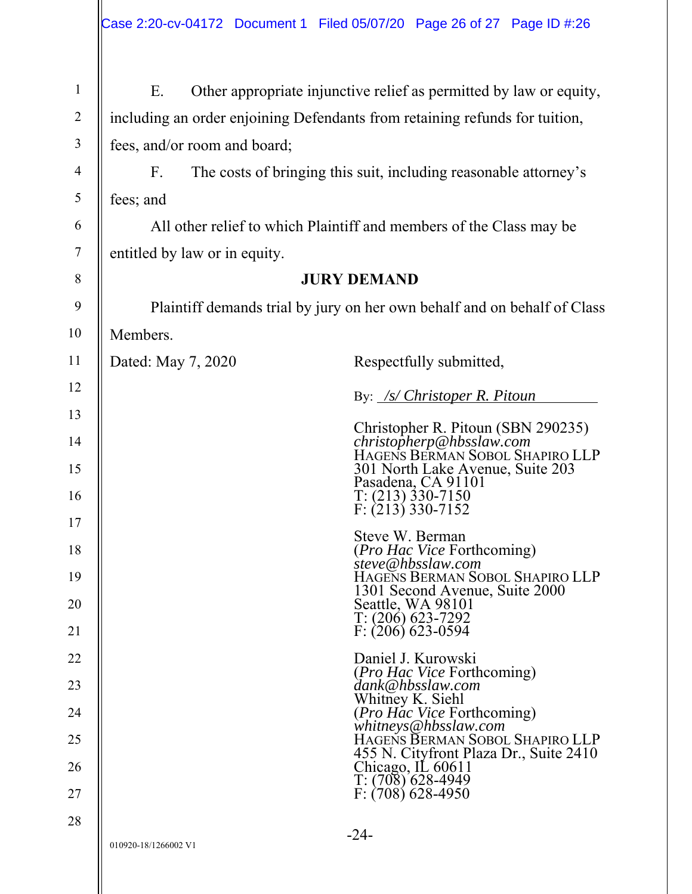| $\mathbf{1}$   | Ε.                                                                          | Other appropriate injunctive relief as permitted by law or equity,                              |
|----------------|-----------------------------------------------------------------------------|-------------------------------------------------------------------------------------------------|
| $\overline{2}$ | including an order enjoining Defendants from retaining refunds for tuition, |                                                                                                 |
| 3              | fees, and/or room and board;                                                |                                                                                                 |
| 4              | $F_{\cdot}$                                                                 | The costs of bringing this suit, including reasonable attorney's                                |
| 5              | fees; and                                                                   |                                                                                                 |
| 6              |                                                                             | All other relief to which Plaintiff and members of the Class may be                             |
| $\tau$         | entitled by law or in equity.                                               |                                                                                                 |
| 8              |                                                                             | <b>JURY DEMAND</b>                                                                              |
| 9              |                                                                             | Plaintiff demands trial by jury on her own behalf and on behalf of Class                        |
| 10             | Members.                                                                    |                                                                                                 |
| 11             | Dated: May 7, 2020                                                          | Respectfully submitted,                                                                         |
| 12             |                                                                             | By: /s/ Christoper R. Pitoun                                                                    |
| 13             |                                                                             | Christopher R. Pitoun (SBN 290235)                                                              |
| 14<br>15       |                                                                             | christopherp@hbsslaw.com<br>HAGENS BERMAN SOBOL SHAPIRO LLP<br>301 North Lake Avenue, Suite 203 |
| 16             |                                                                             | Pasadena, CA 91101<br>$T: (213)$ 330-7150<br>$F: (213)$ 330-7152                                |
| 17             |                                                                             | Steve W. Berman                                                                                 |
| 18             |                                                                             | <i>(Pro Hac Vice Forthcoming)</i><br>steve@hbsslaw.com                                          |
| 19<br>20       |                                                                             | HAGENS BERMAN SOBOL SHAPIRO LLP<br>1301 Second Avenue, Suite 2000<br>Seattle, WA 98101          |
| 21             |                                                                             | $T: (206)$ 623-7292<br>$F: (206)$ 623-0594                                                      |
| 22             |                                                                             | Daniel J. Kurowski                                                                              |
| 23             |                                                                             | <i>(Pro Hac Vice Forthcoming)</i><br>dank@hbsslaw.com                                           |
| 24             |                                                                             | Whitney K. Siehl<br><i>(Pro Hac Vice Forthcoming)</i>                                           |
| 25             |                                                                             | whitneys@hbsslaw.com<br>HAGENS BERMAN SOBOL SHAPIRO LLP                                         |
| 26             |                                                                             | 455 N. Cityfront Plaza Dr., Suite 2410<br>Chicago, IL 60611<br>$T: (708)$ 628-4949              |
| 27             |                                                                             | $F: (708) 628-4950$                                                                             |
| 28             | 010920-18/1266002 V1                                                        | $-24-$                                                                                          |